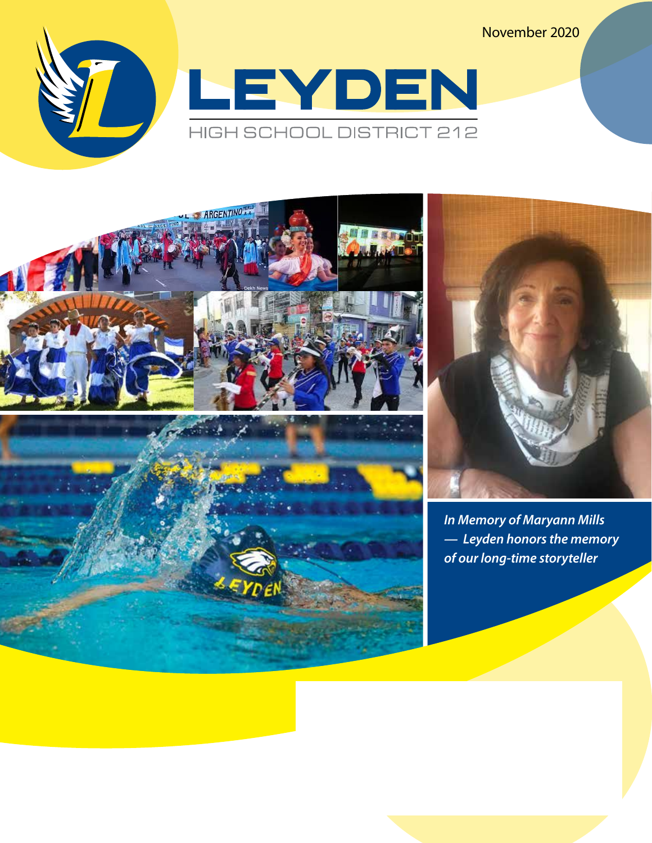November 2020



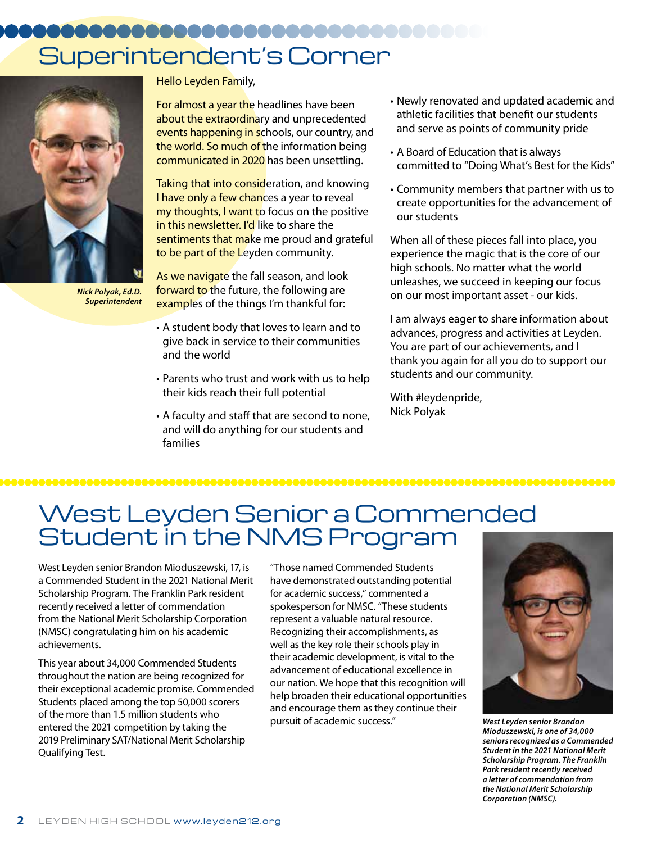# Superintendent's Corner



*Nick Polyak, Ed.D. Superintendent*

Hello Leyden Family,

For almost a year the headlines have been about the extraordinary and unprecedented events happening in schools, our country, and the world. So much of the information being communicated in 2020 has been unsettling.

Taking that into consideration, and knowing I have only a few chances a year to reveal my thoughts, I want to focus on the positive in this newsletter. I'd like to share the sentiments that make me proud and grateful to be part of the Leyden community.

As we navigate the fall season, and look forward to the future, the following are examples of the things I'm thankful for:

- A student body that loves to learn and to give back in service to their communities and the world
- Parents who trust and work with us to help their kids reach their full potential
- A faculty and staff that are second to none, and will do anything for our students and families
- Newly renovated and updated academic and athletic facilities that benefit our students and serve as points of community pride
- A Board of Education that is always committed to "Doing What's Best for the Kids"
- Community members that partner with us to create opportunities for the advancement of our students

When all of these pieces fall into place, you experience the magic that is the core of our high schools. No matter what the world unleashes, we succeed in keeping our focus on our most important asset - our kids.

I am always eager to share information about advances, progress and activities at Leyden. You are part of our achievements, and I thank you again for all you do to support our students and our community.

With #leydenpride, Nick Polyak

### West Leyden Senior a Commended Student in the NMS Program

West Leyden senior Brandon Mioduszewski, 17, is a Commended Student in the 2021 National Merit Scholarship Program. The Franklin Park resident recently received a letter of commendation from the National Merit Scholarship Corporation (NMSC) congratulating him on his academic achievements.

This year about 34,000 Commended Students throughout the nation are being recognized for their exceptional academic promise. Commended Students placed among the top 50,000 scorers of the more than 1.5 million students who entered the 2021 competition by taking the 2019 Preliminary SAT/National Merit Scholarship Qualifying Test.

"Those named Commended Students have demonstrated outstanding potential for academic success," commented a spokesperson for NMSC. "These students represent a valuable natural resource. Recognizing their accomplishments, as well as the key role their schools play in their academic development, is vital to the advancement of educational excellence in our nation. We hope that this recognition will help broaden their educational opportunities and encourage them as they continue their pursuit of academic success." *West Leyden senior Brandon* 



*Mioduszewski, is one of 34,000 seniors recognized as a Commended Student in the 2021 National Merit Scholarship Program. The Franklin Park resident recently received a letter of commendation from the National Merit Scholarship Corporation (NMSC).*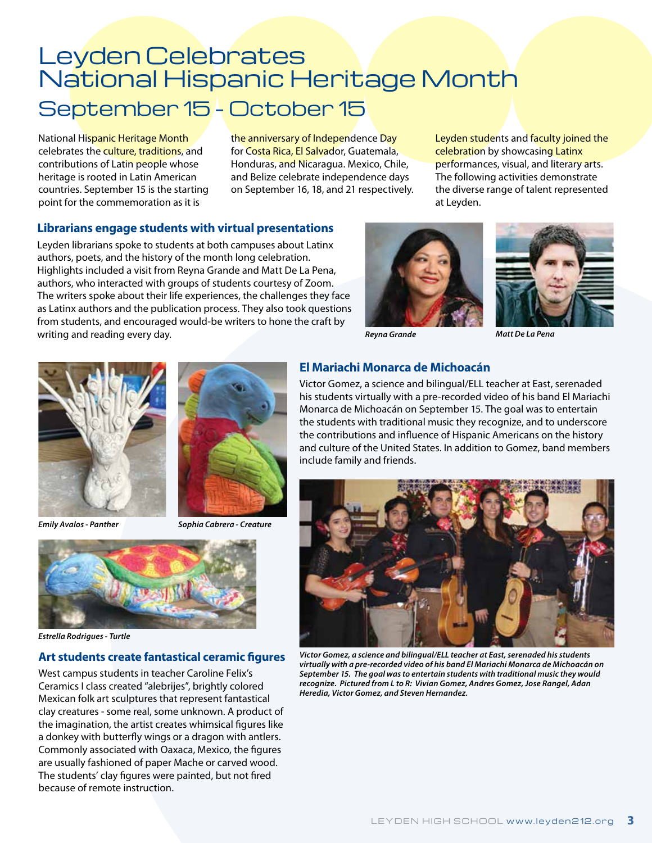### Leyden Celebrates National Hispanic Heritage Month September 15 - October 15

National Hispanic Heritage Month celebrates the culture, traditions, and contributions of Latin people whose heritage is rooted in Latin American countries. September 15 is the starting point for the commemoration as it is

the anniversary of Independence Day for Costa Rica, El Salvador, Guatemala, Honduras, and Nicaragua. Mexico, Chile, and Belize celebrate independence days on September 16, 18, and 21 respectively.

Leyden students and faculty joined the celebration by showcasing Latinx performances, visual, and literary arts. The following activities demonstrate the diverse range of talent represented at Leyden.

#### **Librarians engage students with virtual presentations**

Leyden librarians spoke to students at both campuses about Latinx authors, poets, and the history of the month long celebration. Highlights included a visit from Reyna Grande and Matt De La Pena, authors, who interacted with groups of students courtesy of Zoom. The writers spoke about their life experiences, the challenges they face as Latinx authors and the publication process. They also took questions from students, and encouraged would-be writers to hone the craft by writing and reading every day.







*Emily Avalos - Panther*



*Sophia Cabrera - Creature*



*Estrella Rodrigues - Turtle*

#### **Art students create fantastical ceramic figures**

West campus students in teacher Caroline Felix's Ceramics I class created "alebrijes", brightly colored Mexican folk art sculptures that represent fantastical clay creatures - some real, some unknown. A product of the imagination, the artist creates whimsical figures like a donkey with butterfly wings or a dragon with antlers. Commonly associated with Oaxaca, Mexico, the figures are usually fashioned of paper Mache or carved wood. The students' clay figures were painted, but not fired because of remote instruction.

#### **El Mariachi Monarca de Michoacán**

Victor Gomez, a science and bilingual/ELL teacher at East, serenaded his students virtually with a pre-recorded video of his band El Mariachi Monarca de Michoacán on September 15. The goal was to entertain the students with traditional music they recognize, and to underscore the contributions and influence of Hispanic Americans on the history and culture of the United States. In addition to Gomez, band members include family and friends.



*Victor Gomez, a science and bilingual/ELL teacher at East, serenaded his students virtually with a pre-recorded video of his band El Mariachi Monarca de Michoacán on September 15. The goal was to entertain students with traditional music they would recognize. Pictured from L to R: Vivian Gomez, Andres Gomez, Jose Rangel, Adan Heredia, Victor Gomez, and Steven Hernandez.*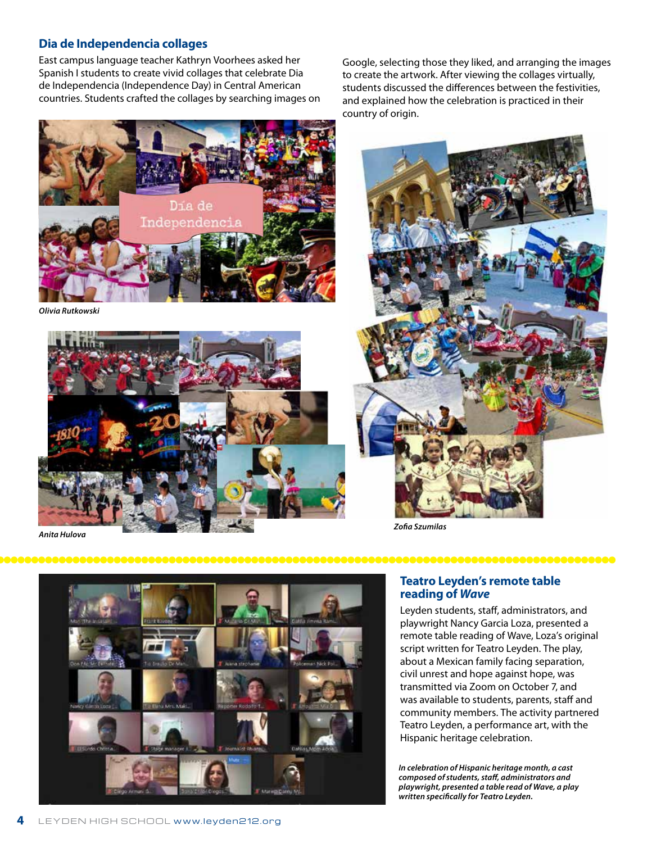#### **Dia de Independencia collages**

East campus language teacher Kathryn Voorhees asked her Spanish I students to create vivid collages that celebrate Dia de Independencia (Independence Day) in Central American countries. Students crafted the collages by searching images on

Día de Indenen **El 15 de septiembre, el Dia de Independencia**

*Olivia Rutkowski*



*Anita Hulova*



Google, selecting those they liked, and arranging the images to create the artwork. After viewing the collages virtually, students discussed the differences between the festivities, and explained how the celebration is practiced in their

*Zofia Szumilas*



#### **Teatro Leyden's remote table reading of** *Wave*

Leyden students, staff, administrators, and playwright Nancy Garcia Loza, presented a remote table reading of Wave, Loza's original script written for Teatro Leyden. The play, about a Mexican family facing separation, civil unrest and hope against hope, was transmitted via Zoom on October 7, and was available to students, parents, staff and community members. The activity partnered Teatro Leyden, a performance art, with the Hispanic heritage celebration.

*In celebration of Hispanic heritage month, a cast composed of students, staff, administrators and playwright, presented a table read of Wave, a play written specifically for Teatro Leyden.*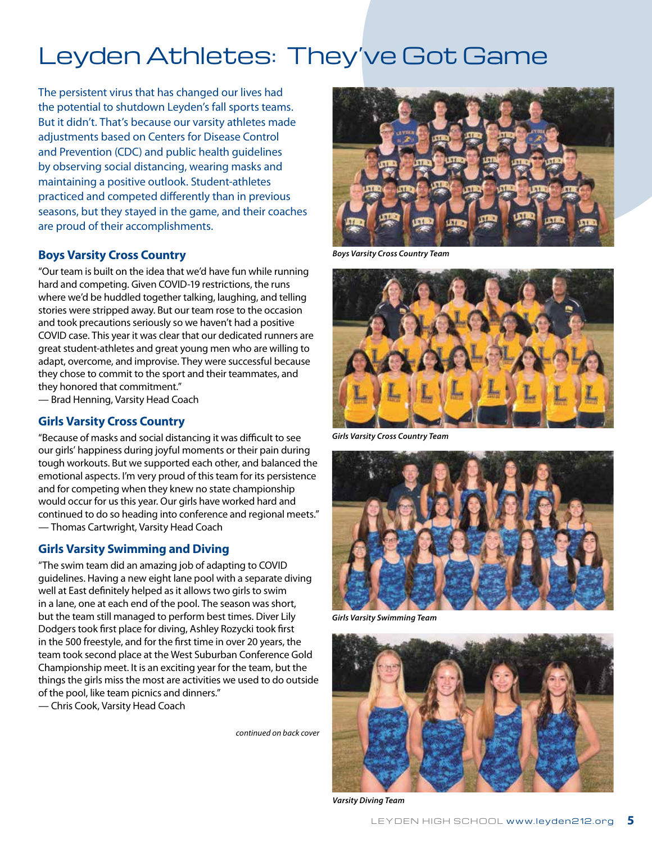## Leyden Athletes: They've Got Game

The persistent virus that has changed our lives had the potential to shutdown Leyden's fall sports teams. But it didn't. That's because our varsity athletes made adjustments based on Centers for Disease Control and Prevention (CDC) and public health guidelines by observing social distancing, wearing masks and maintaining a positive outlook. Student-athletes practiced and competed differently than in previous seasons, but they stayed in the game, and their coaches are proud of their accomplishments.

#### **Boys Varsity Cross Country**

"Our team is built on the idea that we'd have fun while running hard and competing. Given COVID-19 restrictions, the runs where we'd be huddled together talking, laughing, and telling stories were stripped away. But our team rose to the occasion and took precautions seriously so we haven't had a positive COVID case. This year it was clear that our dedicated runners are great student-athletes and great young men who are willing to adapt, overcome, and improvise. They were successful because they chose to commit to the sport and their teammates, and they honored that commitment." — Brad Henning, Varsity Head Coach

#### **Girls Varsity Cross Country**

"Because of masks and social distancing it was difficult to see our girls' happiness during joyful moments or their pain during tough workouts. But we supported each other, and balanced the emotional aspects. I'm very proud of this team for its persistence and for competing when they knew no state championship would occur for us this year. Our girls have worked hard and continued to do so heading into conference and regional meets." — Thomas Cartwright, Varsity Head Coach

### **Girls Varsity Swimming and Diving**

"The swim team did an amazing job of adapting to COVID guidelines. Having a new eight lane pool with a separate diving well at East definitely helped as it allows two girls to swim in a lane, one at each end of the pool. The season was short, but the team still managed to perform best times. Diver Lily Dodgers took first place for diving, Ashley Rozycki took first in the 500 freestyle, and for the first time in over 20 years, the team took second place at the West Suburban Conference Gold Championship meet. It is an exciting year for the team, but the things the girls miss the most are activities we used to do outside of the pool, like team picnics and dinners."

— Chris Cook, Varsity Head Coach

*continued on back cover*



*Boys Varsity Cross Country Team*



*Girls Varsity Cross Country Team*



*Girls Varsity Swimming Team*



*Varsity Diving Team*